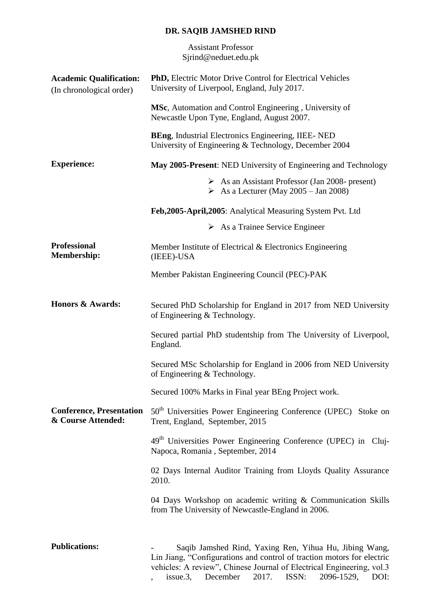## **DR. SAQIB JAMSHED RIND**

Assistant Professor Sjrind@neduet.edu.pk

| <b>Academic Qualification:</b><br>(In chronological order) | <b>PhD, Electric Motor Drive Control for Electrical Vehicles</b><br>University of Liverpool, England, July 2017.                                                                                                                                                          |
|------------------------------------------------------------|---------------------------------------------------------------------------------------------------------------------------------------------------------------------------------------------------------------------------------------------------------------------------|
|                                                            | <b>MSc</b> , Automation and Control Engineering, University of<br>Newcastle Upon Tyne, England, August 2007.                                                                                                                                                              |
|                                                            | <b>BEng, Industrial Electronics Engineering, IIEE- NED</b><br>University of Engineering & Technology, December 2004                                                                                                                                                       |
| <b>Experience:</b>                                         | May 2005-Present: NED University of Engineering and Technology                                                                                                                                                                                                            |
|                                                            | $\triangleright$ As an Assistant Professor (Jan 2008- present)<br>$\triangleright$ As a Lecturer (May 2005 – Jan 2008)                                                                                                                                                    |
|                                                            | Feb, 2005-April, 2005: Analytical Measuring System Pvt. Ltd                                                                                                                                                                                                               |
|                                                            | $\triangleright$ As a Trainee Service Engineer                                                                                                                                                                                                                            |
| <b>Professional</b><br><b>Membership:</b>                  | Member Institute of Electrical & Electronics Engineering<br>(IEEE)-USA                                                                                                                                                                                                    |
|                                                            | Member Pakistan Engineering Council (PEC)-PAK                                                                                                                                                                                                                             |
| <b>Honors &amp; Awards:</b>                                | Secured PhD Scholarship for England in 2017 from NED University<br>of Engineering & Technology.                                                                                                                                                                           |
|                                                            | Secured partial PhD studentship from The University of Liverpool,<br>England.                                                                                                                                                                                             |
|                                                            | Secured MSc Scholarship for England in 2006 from NED University<br>of Engineering & Technology.                                                                                                                                                                           |
|                                                            | Secured 100% Marks in Final year BEng Project work.                                                                                                                                                                                                                       |
| <b>Conference, Presentation</b><br>& Course Attended:      | 50 <sup>th</sup> Universities Power Engineering Conference (UPEC) Stoke on<br>Trent, England, September, 2015                                                                                                                                                             |
|                                                            | 49 <sup>th</sup> Universities Power Engineering Conference (UPEC) in Cluj-<br>Napoca, Romania, September, 2014                                                                                                                                                            |
|                                                            | 02 Days Internal Auditor Training from Lloyds Quality Assurance<br>2010.                                                                                                                                                                                                  |
|                                                            | 04 Days Workshop on academic writing & Communication Skills<br>from The University of Newcastle-England in 2006.                                                                                                                                                          |
| <b>Publications:</b>                                       | Saqib Jamshed Rind, Yaxing Ren, Yihua Hu, Jibing Wang,<br>Lin Jiang, "Configurations and control of traction motors for electric<br>vehicles: A review", Chinese Journal of Electrical Engineering, vol.3<br>2096-1529,<br>issue.3,<br>December<br>2017.<br>ISSN:<br>DOI: |